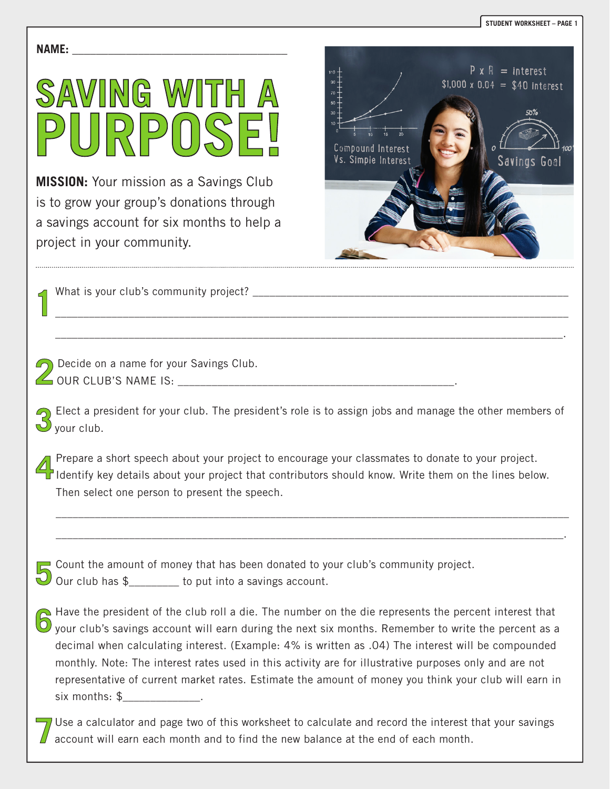#### **NAME: \_\_\_\_\_\_\_\_\_\_\_\_\_\_\_\_\_\_\_\_\_\_\_\_\_\_\_\_\_\_\_\_\_\_\_\_**



**MISSION:** Your mission as a Savings Club is to grow your group's donations through a savings account for six months to help a project in your community.



What is your club's community project?

Decide on a name for your Savings Club. OUR CLUB'S NAME IS: \_\_\_\_\_\_\_\_\_\_\_\_\_\_\_\_\_\_\_\_\_\_\_\_\_\_\_\_\_\_\_\_\_\_\_\_\_\_\_\_\_\_\_\_\_\_\_\_\_.

Elect a president for your club. The president's role is to assign jobs and manage the other members of  $\cup$  your club.

\_\_\_\_\_\_\_\_\_\_\_\_\_\_\_\_\_\_\_\_\_\_\_\_\_\_\_\_\_\_\_\_\_\_\_\_\_\_\_\_\_\_\_\_\_\_\_\_\_\_\_\_\_\_\_\_\_\_\_\_\_\_\_\_\_\_\_\_\_\_\_\_\_\_\_\_\_\_\_\_\_\_\_\_\_\_\_\_\_\_\_

\_\_\_\_\_\_\_\_\_\_\_\_\_\_\_\_\_\_\_\_\_\_\_\_\_\_\_\_\_\_\_\_\_\_\_\_\_\_\_\_\_\_\_\_\_\_\_\_\_\_\_\_\_\_\_\_\_\_\_\_\_\_\_\_\_\_\_\_\_\_\_\_\_\_\_\_\_\_\_\_\_\_\_\_\_\_\_\_\_\_.

Prepare a short speech about your project to encourage your classmates to donate to your project.<br>Identify key details about your project that contributors should know. Write them on the lines below. Prepare a short speech about your project to encourage your classmates to donate to your project. Then select one person to present the speech.

\_\_\_\_\_\_\_\_\_\_\_\_\_\_\_\_\_\_\_\_\_\_\_\_\_\_\_\_\_\_\_\_\_\_\_\_\_\_\_\_\_\_\_\_\_\_\_\_\_\_\_\_\_\_\_\_\_\_\_\_\_\_\_\_\_\_\_\_\_\_\_\_\_\_\_\_\_\_\_\_\_\_\_\_\_\_\_\_\_\_\_

\_\_\_\_\_\_\_\_\_\_\_\_\_\_\_\_\_\_\_\_\_\_\_\_\_\_\_\_\_\_\_\_\_\_\_\_\_\_\_\_\_\_\_\_\_\_\_\_\_\_\_\_\_\_\_\_\_\_\_\_\_\_\_\_\_\_\_\_\_\_\_\_\_\_\_\_\_\_\_\_\_\_\_\_\_\_\_\_\_\_.

Count the amount of money that has been donated to year club has  $\frac{1}{2}$  count into a savings account. Count the amount of money that has been donated to your club's community project.

Have the president of the club roll a die. The number on the die represents the percent interest that 5 your club's savings account will earn during the next six months. Remember to write the percent as a decimal when calculating interest. (Example: 4% is written as .04) The interest will be compounded monthly. Note: The interest rates used in this activity are for illustrative purposes only and are not representative of current market rates. Estimate the amount of money you think your club will earn in six months: \$

 $\sqrt{U}$  Use a calculator and page two of this worksheet to calculate and record the interest that your savings account will earn each month and to find the new balance at the end of each month.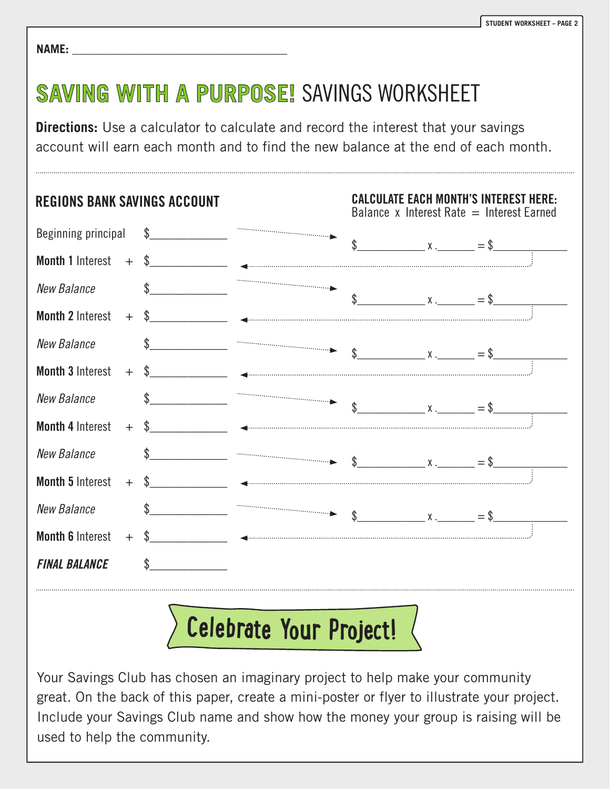| <b>NAME:</b> |
|--------------|
|--------------|

### **SAVING WITH A PURPOSE!** SAVINGS WORKSHEET

**Directions:** Use a calculator to calculate and record the interest that your savings account will earn each month and to find the new balance at the end of each month.



## **Celebrat<sup>e</sup> You<sup>r</sup> Proj<sup>e</sup>ct!**

Your Savings Club has chosen an imaginary project to help make your community great. On the back of this paper, create a mini-poster or flyer to illustrate your project. Include your Savings Club name and show how the money your group is raising will be used to help the community.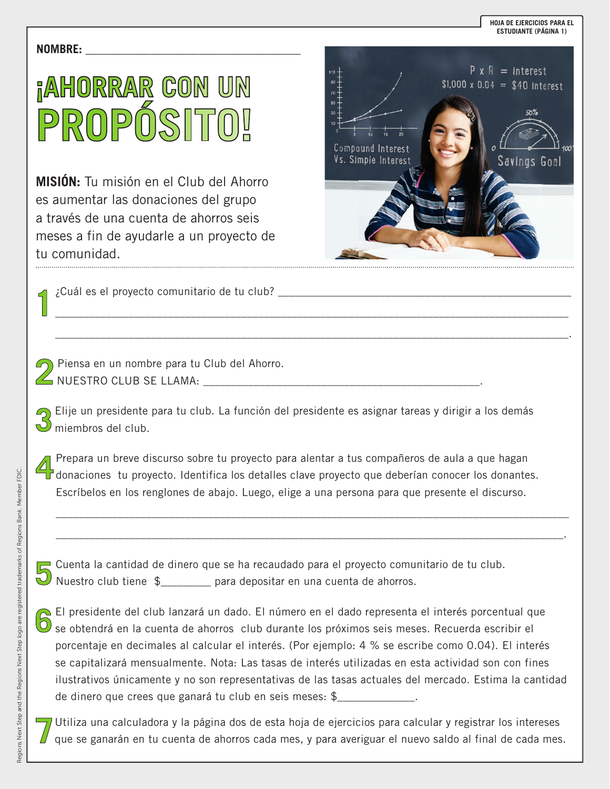#### **NOMBRE: \_\_\_\_\_\_\_\_\_\_\_\_\_\_\_\_\_\_\_\_\_\_\_\_\_\_\_\_\_\_\_\_\_\_\_\_**

# **¡AHORRAR CON UN PROPÓSITO!**

**MISIÓN:** Tu misión en el Club del Ahorro es aumentar las donaciones del grupo a través de una cuenta de ahorros seis meses a fin de ayudarle a un proyecto de tu comunidad.



¿Cuál es el proyecto comunitario de tu club? \_\_\_\_\_\_\_\_\_\_\_\_\_\_\_\_\_\_\_\_\_\_\_\_\_\_\_\_\_\_\_\_\_\_\_\_\_\_\_\_\_\_\_\_\_\_\_\_\_\_\_\_

Piensa en un nombre para tu Club del Ahorro. NUESTRO CLUB SE LLAMA: \_\_\_\_\_\_\_\_\_\_\_\_\_\_\_\_\_\_\_\_\_\_\_\_\_\_\_\_\_\_\_\_\_\_\_\_\_\_\_\_\_\_\_\_\_\_\_\_\_.

Elije un presidente para tu club. La función del presidente es asignar tareas y dirigir a los demás  $\bigcirc$  miembros del club.

\_\_\_\_\_\_\_\_\_\_\_\_\_\_\_\_\_\_\_\_\_\_\_\_\_\_\_\_\_\_\_\_\_\_\_\_\_\_\_\_\_\_\_\_\_\_\_\_\_\_\_\_\_\_\_\_\_\_\_\_\_\_\_\_\_\_\_\_\_\_\_\_\_\_\_\_\_\_\_\_\_\_\_\_\_\_\_\_\_\_\_

\_\_\_\_\_\_\_\_\_\_\_\_\_\_\_\_\_\_\_\_\_\_\_\_\_\_\_\_\_\_\_\_\_\_\_\_\_\_\_\_\_\_\_\_\_\_\_\_\_\_\_\_\_\_\_\_\_\_\_\_\_\_\_\_\_\_\_\_\_\_\_\_\_\_\_\_\_\_\_\_\_\_\_\_\_\_\_\_\_\_\_.

Prepara un breve discurso sobre tu proyecto para alentar a tus compañeros de aula a que hagan<br>donaciones tu proyecto. Identifica los detalles clave proyecto que deberían conocer los donantes. Prepara un breve discurso sobre tu proyecto para alentar a tus compañeros de aula a que hagan Escríbelos en los renglones de abajo. Luego, elige a una persona para que presente el discurso.

\_\_\_\_\_\_\_\_\_\_\_\_\_\_\_\_\_\_\_\_\_\_\_\_\_\_\_\_\_\_\_\_\_\_\_\_\_\_\_\_\_\_\_\_\_\_\_\_\_\_\_\_\_\_\_\_\_\_\_\_\_\_\_\_\_\_\_\_\_\_\_\_\_\_\_\_\_\_\_\_\_\_\_\_\_\_\_\_\_\_\_

\_\_\_\_\_\_\_\_\_\_\_\_\_\_\_\_\_\_\_\_\_\_\_\_\_\_\_\_\_\_\_\_\_\_\_\_\_\_\_\_\_\_\_\_\_\_\_\_\_\_\_\_\_\_\_\_\_\_\_\_\_\_\_\_\_\_\_\_\_\_\_\_\_\_\_\_\_\_\_\_\_\_\_\_\_\_\_\_\_\_.

Cuenta la cantidad de dinero que se ha recaudado para el proyecto comu<br>Nuestro club tiene \$\_\_\_\_\_\_\_\_ para depositar en una cuenta de ahorros. Cuenta la cantidad de dinero que se ha recaudado para el proyecto comunitario de tu club.

El presidente del club lanzará un dado. El número en el dado representa el interés porcentual que Se obtendrá en la cuenta de ahorros club durante los próximos seis meses. Recuerda escribir el porcentaje en decimales al calcular el interés. (Por ejemplo: 4 % se escribe como 0.04). El interés se capitalizará mensualmente. Nota: Las tasas de interés utilizadas en esta actividad son con fines ilustrativos únicamente y no son representativas de las tasas actuales del mercado. Estima la cantidad de dinero que crees que ganará tu club en seis meses: \$\_\_\_\_\_\_\_\_\_\_\_\_\_\_.

Utiliza una calculadora y la página dos de esta hoja de ejercicios para calcular y registrar los intereses que se ganarán en tu cuenta de ahorros cada mes, y para averiguar el nuevo saldo al final de cada mes.